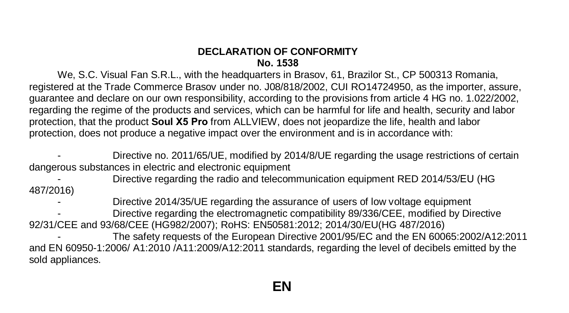## **DECLARATION OF CONFORMITY No. 1538**

We, S.C. Visual Fan S.R.L., with the headquarters in Brasov, 61, Brazilor St., CP 500313 Romania, registered at the Trade Commerce Brasov under no. J08/818/2002, CUI RO14724950, as the importer, assure, guarantee and declare on our own responsibility, according to the provisions from article 4 HG no. 1.022/2002, regarding the regime of the products and services, which can be harmful for life and health, security and labor protection, that the product **Soul X5 Pro** from ALLVIEW, does not jeopardize the life, health and labor protection, does not produce a negative impact over the environment and is in accordance with:

Directive no. 2011/65/UE, modified by 2014/8/UE regarding the usage restrictions of certain dangerous substances in electric and electronic equipment

487/2016) - Directive regarding the radio and telecommunication equipment RED 2014/53/EU (HG

- Directive 2014/35/UE regarding the assurance of users of low voltage equipment - Directive regarding the electromagnetic compatibility 89/336/CEE, modified by Directive 92/31/CEE and 93/68/CEE (HG982/2007); RoHS: EN50581:2012; 2014/30/EU(HG 487/2016)

The safety requests of the European Directive 2001/95/EC and the EN 60065:2002/A12:2011 and EN 60950-1:2006/ A1:2010 /A11:2009/A12:2011 standards, regarding the level of decibels emitted by the sold appliances.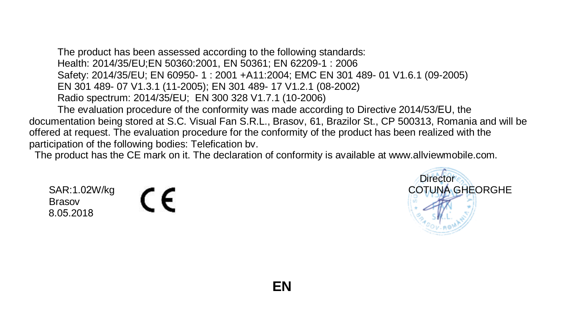documentation being stored at S.C. Visual Fan S.R.L., Brasov, 61, Brazilor St., CP 500313, Romania and will be offered at request. The evaluation procedure for the conformity of the product has been realized with the participation of the following bodies: Telefication bv. The product has been assessed according to the following standards: Health: 2014/35/EU;EN 50360:2001, EN 50361; EN 62209-1 : 2006 Safety: 2014/35/EU; EN 60950- 1 : 2001 +A11:2004; EMC EN 301 489- 01 V1.6.1 (09-2005) EN 301 489- 07 V1.3.1 (11-2005); EN 301 489- 17 V1.2.1 (08-2002) Radio spectrum: 2014/35/EU; EN 300 328 V1.7.1 (10-2006) The evaluation procedure of the conformity was made according to Directive 2014/53/EU, the

The product has the CE mark on it. The declaration of conformity is available at www.allviewmobile.com.

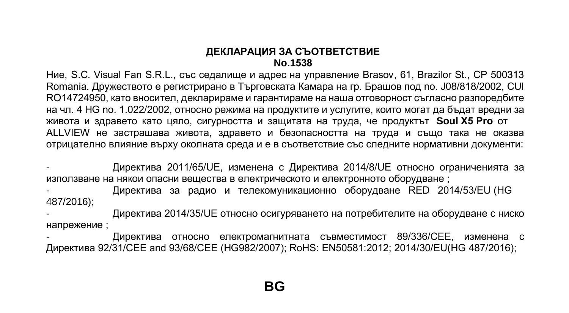#### **ДЕКЛАРАЦИЯ ЗА СЪОТВЕТСТВИЕ No.1538**

Ние, S.C. Visual Fan S.R.L., със седалище и адрес на управление Brasov, 61, Brazilor St., CP 500313 Romania. Дружеството е регистрирано в Търговската Камара на гр. Брашов под no. J08/818/2002, CUI RO14724950, като вносител, декларираме и гарантираме на наша отговорност съгласно разпоредбите на чл. 4 HG no. 1.022/2002, относно режима на продуктите и услугите, които могат да бъдат вредни за живота и здравето като цяло, сигурността и защитата на труда, че продуктът **Soul X5 Pro** от ALLVIEW не застрашава живота, здравето и безопасността на труда и също така не оказва отрицателно влияние върху околната среда и е в съответствие със следните нормативни документи:

- Директива 2011/65/UE, изменена с Директива 2014/8/UE относно ограниченията за използване на някои опасни вещества в електрическото и електронното оборудване ;

- Директива за радио и телекомуникационно оборудване RED 2014/53/EU (HG 487/2016);

- Директива 2014/35/UE относно осигуряването на потребителите на оборудване с ниско напрежение ;

- Директива относно електромагнитната съвместимост 89/336/CEE, изменена с Директива 92/31/CEE and 93/68/CEE (HG982/2007); RoHS: EN50581:2012; 2014/30/EU(HG 487/2016);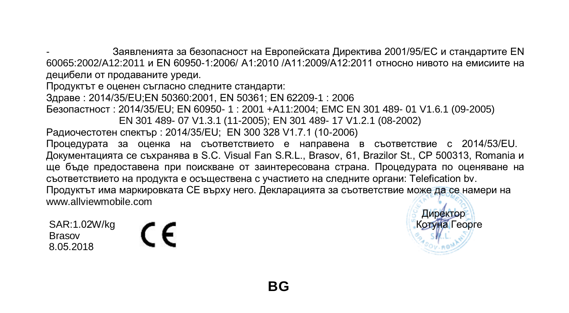- Заявленията за безопасност на Европейската Директива 2001/95/EC и стандартите EN 60065:2002/A12:2011 и EN 60950-1:2006/ A1:2010 /A11:2009/A12:2011 относно нивото на емисиите на децибели от продаваните уреди.

Продуктът е оценен съгласно следните стандарти: Здраве : 2014/35/EU;EN 50360:2001, EN 50361; EN 62209-1 : 2006 Безопастност : 2014/35/EU; EN 60950- 1 : 2001 +A11:2004; EMC EN 301 489- 01 V1.6.1 (09-2005) EN 301 489- 07 V1.3.1 (11-2005); EN 301 489- 17 V1.2.1 (08-2002) Радиочестотен спектър : 2014/35/EU; EN 300 328 V1.7.1 (10-2006) Процедурата за оценка на съответствието е направена в съответствие с 2014/53/EU. Документацията се съхранява в S.C. Visual Fan S.R.L., Brasov, 61, Brazilor St., CP 500313, Romania и ще бъде предоставена при поискване от заинтересована страна. Процедурата по оценяване на съответствието на продукта е осъществена с участието на следните органи: Telefication bv. Продуктът има маркировката СЕ върху него. Декларацията за съответствие може да се намери на www.allviewmobile.com

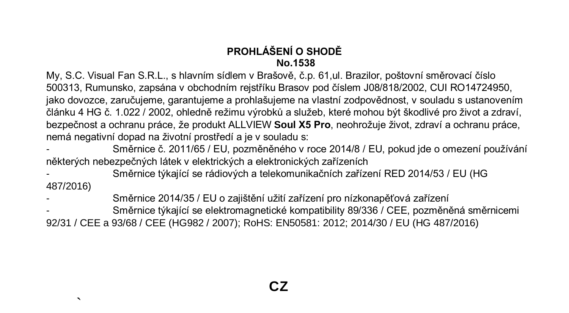# **PROHLÁŠENÍ O SHODĚ No.1538**

My, S.C. Visual Fan S.R.L., s hlavním sídlem v Brašově, č.p. 61,ul. Brazilor, poštovní směrovací číslo 500313, Rumunsko, zapsána v obchodním rejstříku Brasov pod číslem J08/818/2002, CUI RO14724950, jako dovozce, zaručujeme, garantujeme a prohlašujeme na vlastní zodpovědnost, v souladu s ustanovením článku 4 HG č. 1.022 / 2002, ohledně režimu výrobků a služeb, které mohou být škodlivé pro život a zdraví, bezpečnost a ochranu práce, že produkt ALLVIEW **Soul X5 Pro**, neohrožuje život, zdraví a ochranu práce, nemá negativní dopad na životní prostředí a je v souladu s:

- Směrnice č. 2011/65 / EU, pozměněného v roce 2014/8 / EU, pokud jde o omezení používání některých nebezpečných látek v elektrických a elektronických zařízeních
- Směrnice týkající se rádiových a telekomunikačních zařízení RED 2014/53 / EU (HG 487/2016)
- Směrnice 2014/35 / EU o zajištění užití zařízení pro nízkonapěťová zařízení

 $\mathbf{r}$ 

- Směrnice týkající se elektromagnetické kompatibility 89/336 / CEE, pozměněná směrnicemi 92/31 / CEE a 93/68 / CEE (HG982 / 2007); RoHS: EN50581: 2012; 2014/30 / EU (HG 487/2016)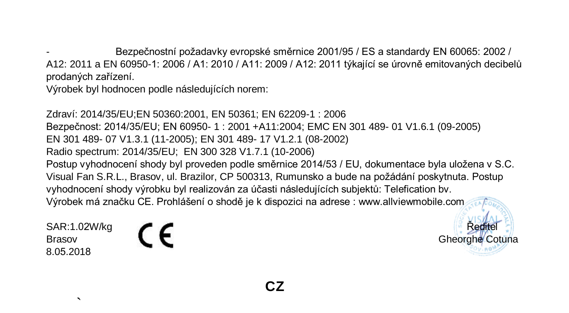- Bezpečnostní požadavky evropské směrnice 2001/95 / ES a standardy EN 60065: 2002 / A12: 2011 a EN 60950-1: 2006 / A1: 2010 / A11: 2009 / A12: 2011 týkající se úrovně emitovaných decibelů prodaných zařízení.

Výrobek byl hodnocen podle následujících norem:

Zdraví: 2014/35/EU;EN 50360:2001, EN 50361; EN 62209-1 : 2006 Bezpečnost: 2014/35/EU; EN 60950- 1 : 2001 +A11:2004; EMC EN 301 489- 01 V1.6.1 (09-2005) EN 301 489- 07 V1.3.1 (11-2005); EN 301 489- 17 V1.2.1 (08-2002) Radio spectrum: 2014/35/EU; EN 300 328 V1.7.1 (10-2006) Postup vyhodnocení shody byl proveden podle směrnice 2014/53 / EU, dokumentace byla uložena v S.C. Visual Fan S.R.L., Brasov, ul. Brazilor, CP 500313, Rumunsko a bude na požádání poskytnuta. Postup vyhodnocení shody výrobku byl realizován za účasti následujících subjektů: Telefication bv. Výrobek má značku CE. Prohlášení o shodě je k dispozici na adrese : www.allviewmobile.com

SAR:1.02W/kg  $\bigcap$ 8.05.2018

Brasov **Gheorghe Cotuna**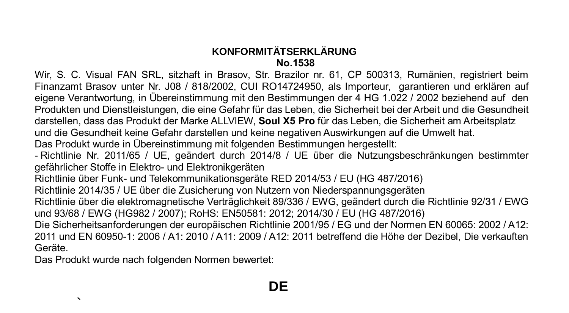# **KONFORMITÄTSERKLÄRUNG No.1538**

Wir, S. C. Visual FAN SRL, sitzhaft in Brasov, Str. Brazilor nr. 61, CP 500313, Rumänien, registriert beim Finanzamt Brasov unter Nr. J08 / 818/2002, CUI RO14724950, als Importeur, garantieren und erklären auf eigene Verantwortung, in Übereinstimmung mit den Bestimmungen der 4 HG 1.022 / 2002 beziehend auf den Produkten und Dienstleistungen, die eine Gefahr für das Leben, die Sicherheit bei der Arbeit und die Gesundheit darstellen, dass das Produkt der Marke ALLVIEW, **Soul X5 Pro** für das Leben, die Sicherheit am Arbeitsplatz und die Gesundheit keine Gefahr darstellen und keine negativen Auswirkungen auf die Umwelt hat. Das Produkt wurde in Übereinstimmung mit folgenden Bestimmungen hergestellt: - Richtlinie Nr. 2011/65 / UE, geändert durch 2014/8 / UE über die Nutzungsbeschränkungen bestimmter gefährlicher Stoffe in Elektro- und Elektronikgeräten Richtlinie über Funk- und Telekommunikationsgeräte RED 2014/53 / EU (HG 487/2016) Richtlinie 2014/35 / UE über die Zusicherung von Nutzern von Niederspannungsgeräten Richtlinie über die elektromagnetische Verträglichkeit 89/336 / EWG, geändert durch die Richtlinie 92/31 / EWG und 93/68 / EWG (HG982 / 2007); RoHS: EN50581: 2012; 2014/30 / EU (HG 487/2016) Die Sicherheitsanforderungen der europäischen Richtlinie 2001/95 / EG und der Normen EN 60065: 2002 / A12: 2011 und EN 60950-1: 2006 / A1: 2010 / A11: 2009 / A12: 2011 betreffend die Höhe der Dezibel, Die verkauften Geräte.

Das Produkt wurde nach folgenden Normen bewertet:

 $\mathbf{r}$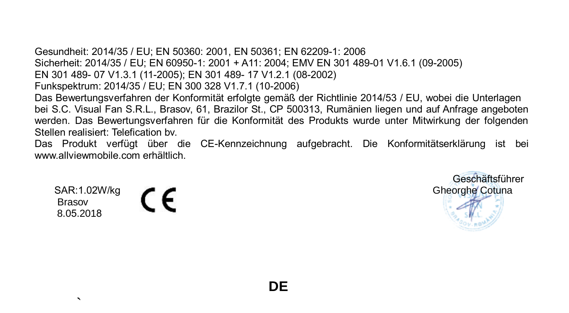Gesundheit: 2014/35 / EU; EN 50360: 2001, EN 50361; EN 62209-1: 2006 Sicherheit: 2014/35 / EU; EN 60950-1: 2001 + A11: 2004; EMV EN 301 489-01 V1.6.1 (09-2005) EN 301 489- 07 V1.3.1 (11-2005); EN 301 489- 17 V1.2.1 (08-2002) Funkspektrum: 2014/35 / EU; EN 300 328 V1.7.1 (10-2006) Das Bewertungsverfahren der Konformität erfolgte gemäß der Richtlinie 2014/53 / EU, wobei die Unterlagen bei S.C. Visual Fan S.R.L., Brasov, 61, Brazilor St., CP 500313, Rumänien liegen und auf Anfrage angeboten werden. Das Bewertungsverfahren für die Konformität des Produkts wurde unter Mitwirkung der folgenden Stellen realisiert: Telefication bv.

Das Produkt verfügt über die CE-Kennzeichnung aufgebracht. Die Konformitätserklärung ist bei www.allviewmobile.com erhältlich.

 Brasov 8.05.2018

 $\mathbf{r}$ 

 Geschäftsführer SAR:1.02W/kg  $\bigcap$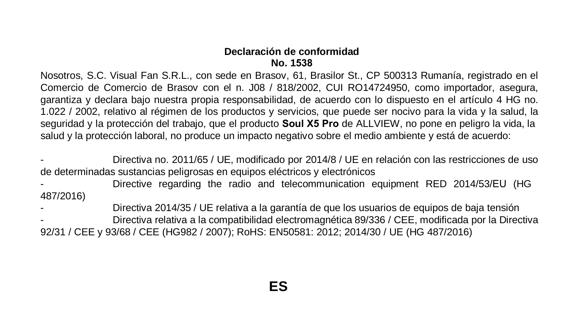#### **Declaración de conformidad No. 1538**

Nosotros, S.C. Visual Fan S.R.L., con sede en Brasov, 61, Brasilor St., CP 500313 Rumanía, registrado en el Comercio de Comercio de Brasov con el n. J08 / 818/2002, CUI RO14724950, como importador, asegura, garantiza y declara bajo nuestra propia responsabilidad, de acuerdo con lo dispuesto en el artículo 4 HG no. 1.022 / 2002, relativo al régimen de los productos y servicios, que puede ser nocivo para la vida y la salud, la seguridad y la protección del trabajo, que el producto **Soul X5 Pro** de ALLVIEW, no pone en peligro la vida, la salud y la protección laboral, no produce un impacto negativo sobre el medio ambiente y está de acuerdo:

- Directiva no. 2011/65 / UE, modificado por 2014/8 / UE en relación con las restricciones de uso de determinadas sustancias peligrosas en equipos eléctricos y electrónicos

- Directive regarding the radio and telecommunication equipment RED 2014/53/EU (HG 487/2016)

- Directiva 2014/35 / UE relativa a la garantía de que los usuarios de equipos de baja tensión - Directiva relativa a la compatibilidad electromagnética 89/336 / CEE, modificada por la Directiva 92/31 / CEE y 93/68 / CEE (HG982 / 2007); RoHS: EN50581: 2012; 2014/30 / UE (HG 487/2016)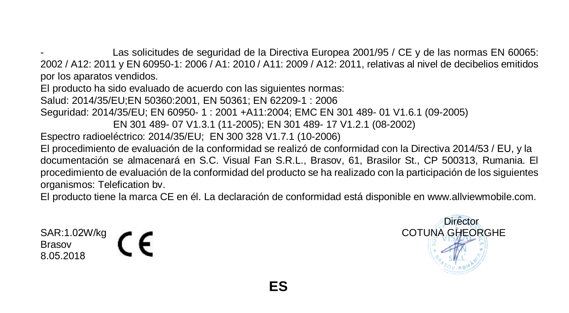Las solicitudes de seguridad de la Directiva Europea 2001/95 / CE y de las normas EN 60065: 2002 / A12: 2011 y EN 60950-1: 2006 / A1: 2010 / A11: 2009 / A12: 2011, relativas al nivel de decibelios emitidos por los aparatos vendidos.

El producto ha sido evaluado de acuerdo con las siguientes normas: Salud: 2014/35/EU;EN 50360:2001, EN 50361; EN 62209-1 : 2006 Seguridad: 2014/35/EU; EN 60950- 1 : 2001 +A11:2004; EMC EN 301 489- 01 V1.6.1 (09-2005) EN 301 489- 07 V1.3.1 (11-2005); EN 301 489- 17 V1.2.1 (08-2002) Espectro radioeléctrico: 2014/35/EU; EN 300 328 V1.7.1 (10-2006) El procedimiento de evaluación de la conformidad se realizó de conformidad con la Directiva 2014/53 / EU, y la documentación se almacenará en S.C. Visual Fan S.R.L., Brasov, 61, Brasilor St., CP 500313, Rumania. El procedimiento de evaluación de la conformidad del producto se ha realizado con la participación de los siguientes

organismos: Telefication bv.

El producto tiene la marca CE en él. La declaración de conformidad está disponible en www.allviewmobile.com.

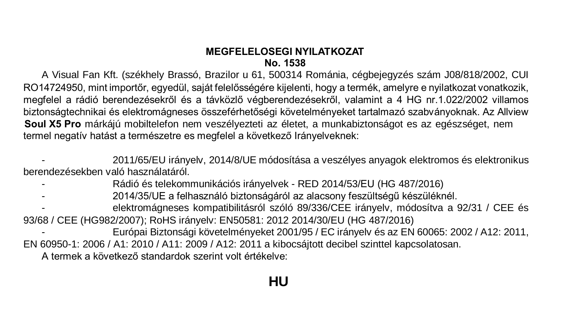## **MEGFELELOSEGI NYILATKOZAT No. 1538**

A Visual Fan Kft. (székhely Brassó, Brazilor u 61, 500314 Románia, cégbejegyzés szám J08/818/2002, CUI RO14724950, mint importőr, egyedül, saját felelősségére kijelenti, hogy a termék, amelyre e nyilatkozat vonatkozik, megfelel a rádió berendezésekről és a távközlő végberendezésekről, valamint a 4 HG nr.1.022/2002 villamos biztonságtechnikai és elektromágneses összeférhetőségi követelményeket tartalmazó szabványoknak. Az Allview **Soul X5 Pro** márkájú mobiltelefon nem veszélyezteti az életet, a munkabiztonságot es az egészséget, nem termel negatív hatást a természetre es megfelel a következő Irányelveknek:

- 2011/65/EU irányelv, 2014/8/UE módosítása a veszélyes anyagok elektromos és elektronikus berendezésekben való használatáról.

- Rádió és telekommunikációs irányelvek RED 2014/53/EU (HG 487/2016)
- 2014/35/UE a felhasználó biztonságáról az alacsony feszültségű készüléknél.
- 93/68 / CEE (HG982/2007); RoHS irányelv: EN50581: 2012 2014/30/EU (HG 487/2016) - elektromágneses kompatibilitásról szóló 89/336/CEE irányelv, módosítva a 92/31 / CEE és
- Európai Biztonsági követelményeket 2001/95 / EC irányelv és az EN 60065: 2002 / A12: 2011, EN 60950-1: 2006 / A1: 2010 / A11: 2009 / A12: 2011 a kibocsájtott decibel szinttel kapcsolatosan.

A termek a következő standardok szerint volt értékelve: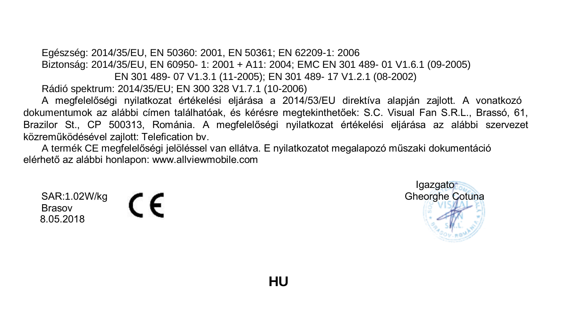Egészség: 2014/35/EU, EN 50360: 2001, EN 50361; EN 62209-1: 2006 Biztonság: 2014/35/EU, EN 60950- 1: 2001 + A11: 2004; EMC EN 301 489- 01 V1.6.1 (09-2005) EN 301 489- 07 V1.3.1 (11-2005); EN 301 489- 17 V1.2.1 (08-2002) Rádió spektrum: 2014/35/EU; EN 300 328 V1.7.1 (10-2006)

dokumentumok az alábbi címen találhatóak, és kérésre megtekinthetőek: S.C. Visual Fan S.R.L., Brassó, 61, Brazilor St., CP 500313, Románia. A megfelelőségi nyilatkozat értékelési eljárása az alábbi szervezet közreműködésével zajlott: Telefication bv. A megfelelőségi nyilatkozat értékelési eljárása a 2014/53/EU direktíva alapján zajlott. A vonatkozó

A termék CE megfelelőségi jelöléssel van ellátva. E nyilatkozatot megalapozó műszaki dokumentáció elérhető az alábbi honlapon: www.allviewmobile.com

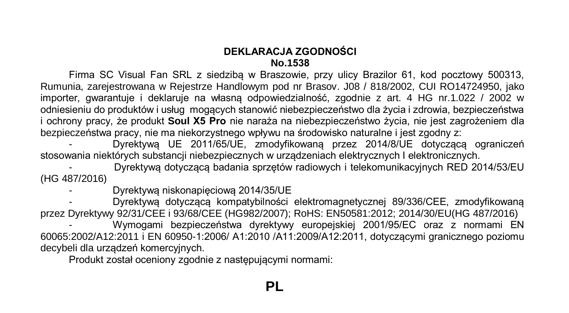## **DEKLARACJA ZGODNOŚCI No.1538**

Firma SC Visual Fan SRL z siedzibą w Braszowie, przy ulicy Brazilor 61, kod pocztowy 500313, Rumunia, zarejestrowana w Rejestrze Handlowym pod nr Brasov. J08 / 818/2002, CUI RO14724950, jako importer, gwarantuje i deklaruje na własną odpowiedzialność, zgodnie z art. 4 HG nr.1.022 / 2002 w odniesieniu do produktów i usług mogących stanowić niebezpieczeństwo dla życia i zdrowia, bezpieczeństwa i ochrony pracy, że produkt **Soul X5 Pro** nie naraża na niebezpieczeństwo życia, nie jest zagrożeniem dla bezpieczeństwa pracy, nie ma niekorzystnego wpływu na środowisko naturalne i jest zgodny z:

- Dyrektywą UE 2011/65/UE, zmodyfikowaną przez 2014/8/UE dotyczącą ograniczeń stosowania niektórych substancji niebezpiecznych w urządzeniach elektrycznych I elektronicznych.

- Dyrektywą dotyczącą badania sprzętów radiowych i telekomunikacyjnych RED 2014/53/EU (HG 487/2016)

- Dyrektywą niskonapięciową 2014/35/UE

- Dyrektywą dotyczącą kompatybilności elektromagnetycznej 89/336/CEE, zmodyfikowaną przez Dyrektywy 92/31/CEE i 93/68/CEE (HG982/2007); RoHS: EN50581:2012; 2014/30/EU(HG 487/2016) - Wymogami bezpieczeństwa dyrektywy europejskiej 2001/95/EC oraz z normami EN 60065:2002/A12:2011 i EN 60950-1:2006/ A1:2010 /A11:2009/A12:2011, dotyczącymi granicznego poziomu

decybeli dla urządzeń komercyjnych.

Produkt został oceniony zgodnie z następującymi normami: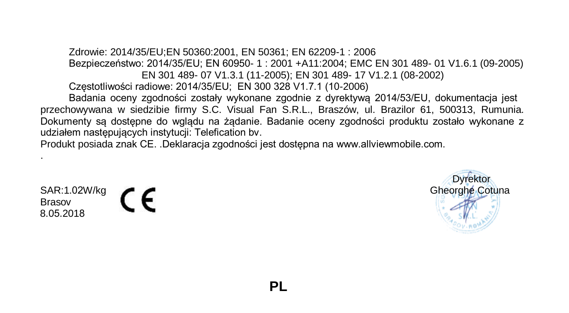Zdrowie: 2014/35/EU;EN 50360:2001, EN 50361; EN 62209-1 : 2006 Bezpieczeństwo: 2014/35/EU; EN 60950- 1 : 2001 +A11:2004; EMC EN 301 489- 01 V1.6.1 (09-2005) EN 301 489- 07 V1.3.1 (11-2005); EN 301 489- 17 V1.2.1 (08-2002) Częstotliwości radiowe: 2014/35/EU; EN 300 328 V1.7.1 (10-2006)

przechowywana w siedzibie firmy S.C. Visual Fan S.R.L., Braszów, ul. Brazilor 61, 500313, Rumunia. Dokumenty są dostępne do wglądu na żądanie. Badanie oceny zgodności produktu zostało wykonane z udziałem następujących instytucji: Telefication bv. Badania oceny zgodności zostały wykonane zgodnie z dyrektywą 2014/53/EU, dokumentacja jest

Produkt posiada znak CE. .Deklaracja zgodności jest dostępna na www.allviewmobile.com.

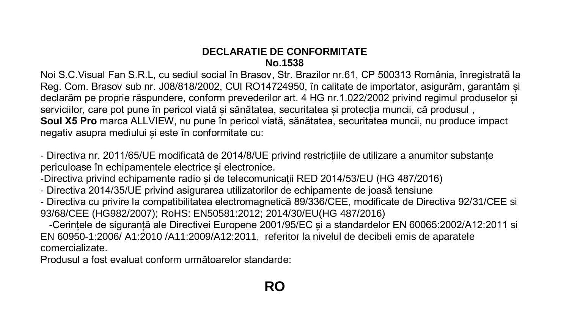# **DECLARATIE DE CONFORMITATE No.1538**

Noi S.C.Visual Fan S.R.L, cu sediul social în Brasov, Str. Brazilor nr.61, CP 500313 România, înregistrată la Reg. Com. Brasov sub nr. J08/818/2002, CUI RO14724950, în calitate de importator, asigurăm, garantăm și declarăm pe proprie răspundere, conform prevederilor art. 4 HG nr.1.022/2002 privind regimul produselor și serviciilor, care pot pune în pericol viată și sănătatea, securitatea și protecția muncii, că produsul , **Soul X5 Pro** marca ALLVIEW, nu pune în pericol viată, sănătatea, securitatea muncii, nu produce impact negativ asupra mediului și este în conformitate cu:

- Directiva nr. 2011/65/UE modificată de 2014/8/UE privind restricțiile de utilizare a anumitor substanțe periculoase în echipamentele electrice și electronice.

-Directiva privind echipamente radio și de telecomunicații RED 2014/53/EU (HG 487/2016)

- Directiva 2014/35/UE privind asigurarea utilizatorilor de echipamente de joasă tensiune

- Directiva cu privire la compatibilitatea electromagnetică 89/336/CEE, modificate de Directiva 92/31/CEE si 93/68/CEE (HG982/2007); RoHS: EN50581:2012; 2014/30/EU(HG 487/2016)

 -Cerințele de siguranță ale Directivei Europene 2001/95/EC și a standardelor EN 60065:2002/A12:2011 si EN 60950-1:2006/ A1:2010 /A11:2009/A12:2011, referitor la nivelul de decibeli emis de aparatele comercializate.

Produsul a fost evaluat conform următoarelor standarde: